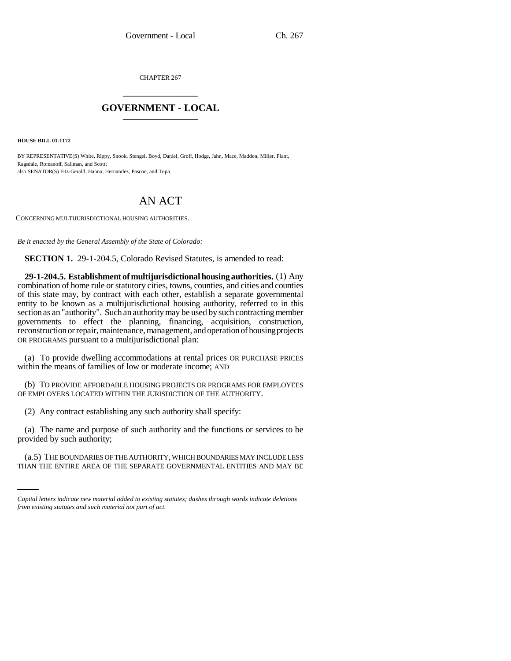CHAPTER 267 \_\_\_\_\_\_\_\_\_\_\_\_\_\_\_

## **GOVERNMENT - LOCAL** \_\_\_\_\_\_\_\_\_\_\_\_\_\_\_

**HOUSE BILL 01-1172**

BY REPRESENTATIVE(S) White, Rippy, Snook, Stengel, Boyd, Daniel, Groff, Hodge, Jahn, Mace, Madden, Miller, Plant, Ragsdale, Romanoff, Saliman, and Scott; also SENATOR(S) Fitz-Gerald, Hanna, Hernandez, Pascoe, and Tupa.

# AN ACT

CONCERNING MULTIJURISDICTIONAL HOUSING AUTHORITIES.

*Be it enacted by the General Assembly of the State of Colorado:*

**SECTION 1.** 29-1-204.5, Colorado Revised Statutes, is amended to read:

**29-1-204.5. Establishment of multijurisdictional housing authorities.** (1) Any combination of home rule or statutory cities, towns, counties, and cities and counties of this state may, by contract with each other, establish a separate governmental entity to be known as a multijurisdictional housing authority, referred to in this section as an "authority". Such an authority may be used by such contracting member governments to effect the planning, financing, acquisition, construction, reconstruction or repair, maintenance, management, and operation of housing projects OR PROGRAMS pursuant to a multijurisdictional plan:

(a) To provide dwelling accommodations at rental prices OR PURCHASE PRICES within the means of families of low or moderate income; AND

(b) TO PROVIDE AFFORDABLE HOUSING PROJECTS OR PROGRAMS FOR EMPLOYEES OF EMPLOYERS LOCATED WITHIN THE JURISDICTION OF THE AUTHORITY.

(2) Any contract establishing any such authority shall specify:

 $\mathbf{r}$  and  $\mathbf{r}$ (a) The name and purpose of such authority and the functions or services to be provided by such authority;

(a.5) THE BOUNDARIES OF THE AUTHORITY, WHICH BOUNDARIES MAY INCLUDE LESS THAN THE ENTIRE AREA OF THE SEPARATE GOVERNMENTAL ENTITIES AND MAY BE

*Capital letters indicate new material added to existing statutes; dashes through words indicate deletions from existing statutes and such material not part of act.*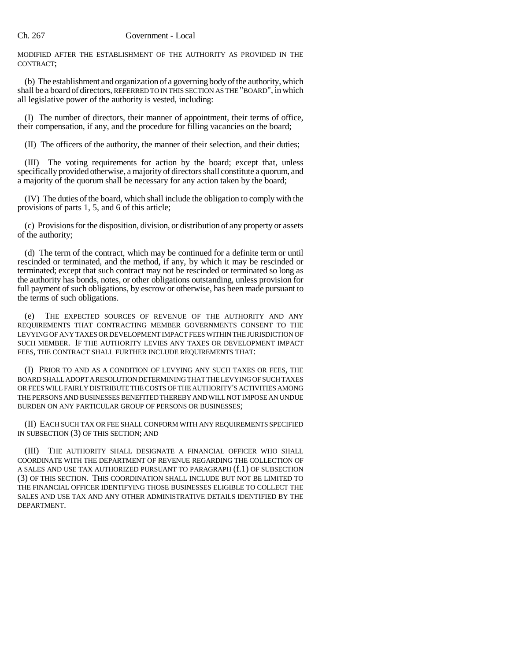MODIFIED AFTER THE ESTABLISHMENT OF THE AUTHORITY AS PROVIDED IN THE CONTRACT;

(b) The establishment and organization of a governing body of the authority, which shall be a board of directors, REFERRED TO IN THIS SECTION AS THE "BOARD", in which all legislative power of the authority is vested, including:

(I) The number of directors, their manner of appointment, their terms of office, their compensation, if any, and the procedure for filling vacancies on the board;

(II) The officers of the authority, the manner of their selection, and their duties;

(III) The voting requirements for action by the board; except that, unless specifically provided otherwise, a majority of directors shall constitute a quorum, and a majority of the quorum shall be necessary for any action taken by the board;

(IV) The duties of the board, which shall include the obligation to comply with the provisions of parts 1, 5, and 6 of this article;

(c) Provisions for the disposition, division, or distribution of any property or assets of the authority;

(d) The term of the contract, which may be continued for a definite term or until rescinded or terminated, and the method, if any, by which it may be rescinded or terminated; except that such contract may not be rescinded or terminated so long as the authority has bonds, notes, or other obligations outstanding, unless provision for full payment of such obligations, by escrow or otherwise, has been made pursuant to the terms of such obligations.

(e) THE EXPECTED SOURCES OF REVENUE OF THE AUTHORITY AND ANY REQUIREMENTS THAT CONTRACTING MEMBER GOVERNMENTS CONSENT TO THE LEVYING OF ANY TAXES OR DEVELOPMENT IMPACT FEES WITHIN THE JURISDICTION OF SUCH MEMBER. IF THE AUTHORITY LEVIES ANY TAXES OR DEVELOPMENT IMPACT FEES, THE CONTRACT SHALL FURTHER INCLUDE REQUIREMENTS THAT:

(I) PRIOR TO AND AS A CONDITION OF LEVYING ANY SUCH TAXES OR FEES, THE BOARD SHALL ADOPT A RESOLUTION DETERMINING THAT THE LEVYING OF SUCH TAXES OR FEES WILL FAIRLY DISTRIBUTE THE COSTS OF THE AUTHORITY'S ACTIVITIES AMONG THE PERSONS AND BUSINESSES BENEFITED THEREBY AND WILL NOT IMPOSE AN UNDUE BURDEN ON ANY PARTICULAR GROUP OF PERSONS OR BUSINESSES;

(II) EACH SUCH TAX OR FEE SHALL CONFORM WITH ANY REQUIREMENTS SPECIFIED IN SUBSECTION (3) OF THIS SECTION; AND

(III) THE AUTHORITY SHALL DESIGNATE A FINANCIAL OFFICER WHO SHALL COORDINATE WITH THE DEPARTMENT OF REVENUE REGARDING THE COLLECTION OF A SALES AND USE TAX AUTHORIZED PURSUANT TO PARAGRAPH (f.1) OF SUBSECTION (3) OF THIS SECTION. THIS COORDINATION SHALL INCLUDE BUT NOT BE LIMITED TO THE FINANCIAL OFFICER IDENTIFYING THOSE BUSINESSES ELIGIBLE TO COLLECT THE SALES AND USE TAX AND ANY OTHER ADMINISTRATIVE DETAILS IDENTIFIED BY THE DEPARTMENT.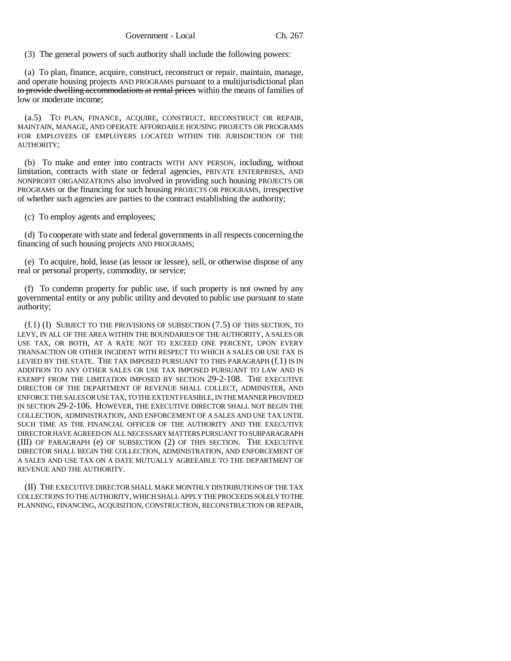(3) The general powers of such authority shall include the following powers:

(a) To plan, finance, acquire, construct, reconstruct or repair, maintain, manage, and operate housing projects AND PROGRAMS pursuant to a multijurisdictional plan to provide dwelling accommodations at rental prices within the means of families of low or moderate income;

(a.5) TO PLAN, FINANCE, ACQUIRE, CONSTRUCT, RECONSTRUCT OR REPAIR, MAINTAIN, MANAGE, AND OPERATE AFFORDABLE HOUSING PROJECTS OR PROGRAMS FOR EMPLOYEES OF EMPLOYERS LOCATED WITHIN THE JURISDICTION OF THE AUTHORITY;

(b) To make and enter into contracts WITH ANY PERSON, including, without limitation, contracts with state or federal agencies, PRIVATE ENTERPRISES, AND NONPROFIT ORGANIZATIONS also involved in providing such housing PROJECTS OR PROGRAMS or the financing for such housing PROJECTS OR PROGRAMS, irrespective of whether such agencies are parties to the contract establishing the authority;

(c) To employ agents and employees;

(d) To cooperate with state and federal governments in all respects concerning the financing of such housing projects AND PROGRAMS;

(e) To acquire, hold, lease (as lessor or lessee), sell, or otherwise dispose of any real or personal property, commodity, or service;

(f) To condemn property for public use, if such property is not owned by any governmental entity or any public utility and devoted to public use pursuant to state authority;

(f.1) (I) SUBJECT TO THE PROVISIONS OF SUBSECTION (7.5) OF THIS SECTION, TO LEVY, IN ALL OF THE AREA WITHIN THE BOUNDARIES OF THE AUTHORITY, A SALES OR USE TAX, OR BOTH, AT A RATE NOT TO EXCEED ONE PERCENT, UPON EVERY TRANSACTION OR OTHER INCIDENT WITH RESPECT TO WHICH A SALES OR USE TAX IS LEVIED BY THE STATE. THE TAX IMPOSED PURSUANT TO THIS PARAGRAPH (f.1) IS IN ADDITION TO ANY OTHER SALES OR USE TAX IMPOSED PURSUANT TO LAW AND IS EXEMPT FROM THE LIMITATION IMPOSED BY SECTION 29-2-108. THE EXECUTIVE DIRECTOR OF THE DEPARTMENT OF REVENUE SHALL COLLECT, ADMINISTER, AND ENFORCE THE SALES OR USE TAX, TO THE EXTENT FEASIBLE, IN THE MANNER PROVIDED IN SECTION 29-2-106. HOWEVER, THE EXECUTIVE DIRECTOR SHALL NOT BEGIN THE COLLECTION, ADMINISTRATION, AND ENFORCEMENT OF A SALES AND USE TAX UNTIL SUCH TIME AS THE FINANCIAL OFFICER OF THE AUTHORITY AND THE EXECUTIVE DIRECTOR HAVE AGREED ON ALL NECESSARY MATTERS PURSUANT TO SUBPARAGRAPH (III) OF PARAGRAPH (e) OF SUBSECTION (2) OF THIS SECTION. THE EXECUTIVE DIRECTOR SHALL BEGIN THE COLLECTION, ADMINISTRATION, AND ENFORCEMENT OF A SALES AND USE TAX ON A DATE MUTUALLY AGREEABLE TO THE DEPARTMENT OF REVENUE AND THE AUTHORITY.

(II) THE EXECUTIVE DIRECTOR SHALL MAKE MONTHLY DISTRIBUTIONS OF THE TAX COLLECTIONS TO THE AUTHORITY, WHICH SHALL APPLY THE PROCEEDS SOLELY TO THE PLANNING, FINANCING, ACQUISITION, CONSTRUCTION, RECONSTRUCTION OR REPAIR,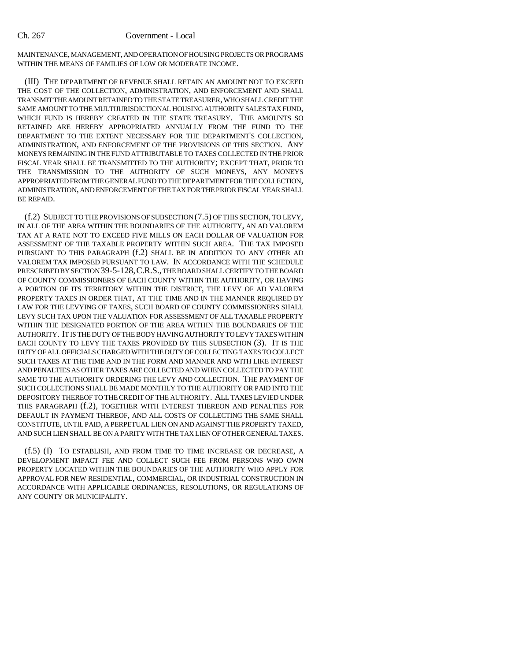MAINTENANCE, MANAGEMENT, AND OPERATION OF HOUSING PROJECTS OR PROGRAMS WITHIN THE MEANS OF FAMILIES OF LOW OR MODERATE INCOME.

(III) THE DEPARTMENT OF REVENUE SHALL RETAIN AN AMOUNT NOT TO EXCEED THE COST OF THE COLLECTION, ADMINISTRATION, AND ENFORCEMENT AND SHALL TRANSMIT THE AMOUNT RETAINED TO THE STATE TREASURER, WHO SHALL CREDIT THE SAME AMOUNT TO THE MULTIJURISDICTIONAL HOUSING AUTHORITY SALES TAX FUND, WHICH FUND IS HEREBY CREATED IN THE STATE TREASURY. THE AMOUNTS SO RETAINED ARE HEREBY APPROPRIATED ANNUALLY FROM THE FUND TO THE DEPARTMENT TO THE EXTENT NECESSARY FOR THE DEPARTMENT'S COLLECTION, ADMINISTRATION, AND ENFORCEMENT OF THE PROVISIONS OF THIS SECTION. ANY MONEYS REMAINING IN THE FUND ATTRIBUTABLE TO TAXES COLLECTED IN THE PRIOR FISCAL YEAR SHALL BE TRANSMITTED TO THE AUTHORITY; EXCEPT THAT, PRIOR TO THE TRANSMISSION TO THE AUTHORITY OF SUCH MONEYS, ANY MONEYS APPROPRIATED FROM THE GENERAL FUND TO THE DEPARTMENT FOR THE COLLECTION, ADMINISTRATION, AND ENFORCEMENT OF THE TAX FOR THE PRIOR FISCAL YEAR SHALL BE REPAID.

(f.2) SUBJECT TO THE PROVISIONS OF SUBSECTION (7.5) OF THIS SECTION, TO LEVY, IN ALL OF THE AREA WITHIN THE BOUNDARIES OF THE AUTHORITY, AN AD VALOREM TAX AT A RATE NOT TO EXCEED FIVE MILLS ON EACH DOLLAR OF VALUATION FOR ASSESSMENT OF THE TAXABLE PROPERTY WITHIN SUCH AREA. THE TAX IMPOSED PURSUANT TO THIS PARAGRAPH (f.2) SHALL BE IN ADDITION TO ANY OTHER AD VALOREM TAX IMPOSED PURSUANT TO LAW. IN ACCORDANCE WITH THE SCHEDULE PRESCRIBED BY SECTION 39-5-128,C.R.S., THE BOARD SHALL CERTIFY TO THE BOARD OF COUNTY COMMISSIONERS OF EACH COUNTY WITHIN THE AUTHORITY, OR HAVING A PORTION OF ITS TERRITORY WITHIN THE DISTRICT, THE LEVY OF AD VALOREM PROPERTY TAXES IN ORDER THAT, AT THE TIME AND IN THE MANNER REQUIRED BY LAW FOR THE LEVYING OF TAXES, SUCH BOARD OF COUNTY COMMISSIONERS SHALL LEVY SUCH TAX UPON THE VALUATION FOR ASSESSMENT OF ALL TAXABLE PROPERTY WITHIN THE DESIGNATED PORTION OF THE AREA WITHIN THE BOUNDARIES OF THE AUTHORITY. IT IS THE DUTY OF THE BODY HAVING AUTHORITY TO LEVY TAXES WITHIN EACH COUNTY TO LEVY THE TAXES PROVIDED BY THIS SUBSECTION (3). IT IS THE DUTY OF ALL OFFICIALS CHARGED WITH THE DUTY OF COLLECTING TAXES TO COLLECT SUCH TAXES AT THE TIME AND IN THE FORM AND MANNER AND WITH LIKE INTEREST AND PENALTIES AS OTHER TAXES ARE COLLECTED AND WHEN COLLECTED TO PAY THE SAME TO THE AUTHORITY ORDERING THE LEVY AND COLLECTION. THE PAYMENT OF SUCH COLLECTIONS SHALL BE MADE MONTHLY TO THE AUTHORITY OR PAID INTO THE DEPOSITORY THEREOF TO THE CREDIT OF THE AUTHORITY. ALL TAXES LEVIED UNDER THIS PARAGRAPH (f.2), TOGETHER WITH INTEREST THEREON AND PENALTIES FOR DEFAULT IN PAYMENT THEREOF, AND ALL COSTS OF COLLECTING THE SAME SHALL CONSTITUTE, UNTIL PAID, A PERPETUAL LIEN ON AND AGAINST THE PROPERTY TAXED, AND SUCH LIEN SHALL BE ON A PARITY WITH THE TAX LIEN OF OTHER GENERAL TAXES.

(f.5) (I) TO ESTABLISH, AND FROM TIME TO TIME INCREASE OR DECREASE, A DEVELOPMENT IMPACT FEE AND COLLECT SUCH FEE FROM PERSONS WHO OWN PROPERTY LOCATED WITHIN THE BOUNDARIES OF THE AUTHORITY WHO APPLY FOR APPROVAL FOR NEW RESIDENTIAL, COMMERCIAL, OR INDUSTRIAL CONSTRUCTION IN ACCORDANCE WITH APPLICABLE ORDINANCES, RESOLUTIONS, OR REGULATIONS OF ANY COUNTY OR MUNICIPALITY.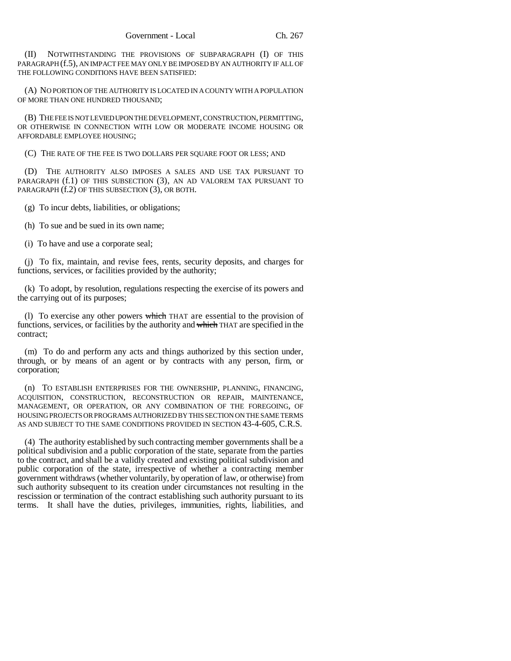(II) NOTWITHSTANDING THE PROVISIONS OF SUBPARAGRAPH (I) OF THIS PARAGRAPH (f.5), AN IMPACT FEE MAY ONLY BE IMPOSED BY AN AUTHORITY IF ALL OF THE FOLLOWING CONDITIONS HAVE BEEN SATISFIED:

(A) NO PORTION OF THE AUTHORITY IS LOCATED IN A COUNTY WITH A POPULATION OF MORE THAN ONE HUNDRED THOUSAND;

(B) THE FEE IS NOT LEVIED UPON THE DEVELOPMENT, CONSTRUCTION, PERMITTING, OR OTHERWISE IN CONNECTION WITH LOW OR MODERATE INCOME HOUSING OR AFFORDABLE EMPLOYEE HOUSING;

(C) THE RATE OF THE FEE IS TWO DOLLARS PER SQUARE FOOT OR LESS; AND

(D) THE AUTHORITY ALSO IMPOSES A SALES AND USE TAX PURSUANT TO PARAGRAPH (f.1) OF THIS SUBSECTION (3), AN AD VALOREM TAX PURSUANT TO PARAGRAPH (f.2) OF THIS SUBSECTION (3), OR BOTH.

(g) To incur debts, liabilities, or obligations;

(h) To sue and be sued in its own name;

(i) To have and use a corporate seal;

(j) To fix, maintain, and revise fees, rents, security deposits, and charges for functions, services, or facilities provided by the authority;

(k) To adopt, by resolution, regulations respecting the exercise of its powers and the carrying out of its purposes;

(I) To exercise any other powers  $\frac{1}{2}$  which THAT are essential to the provision of functions, services, or facilities by the authority and which THAT are specified in the contract;

(m) To do and perform any acts and things authorized by this section under, through, or by means of an agent or by contracts with any person, firm, or corporation;

(n) TO ESTABLISH ENTERPRISES FOR THE OWNERSHIP, PLANNING, FINANCING, ACQUISITION, CONSTRUCTION, RECONSTRUCTION OR REPAIR, MAINTENANCE, MANAGEMENT, OR OPERATION, OR ANY COMBINATION OF THE FOREGOING, OF HOUSING PROJECTS OR PROGRAMS AUTHORIZED BY THIS SECTION ON THE SAME TERMS AS AND SUBJECT TO THE SAME CONDITIONS PROVIDED IN SECTION 43-4-605, C.R.S.

(4) The authority established by such contracting member governments shall be a political subdivision and a public corporation of the state, separate from the parties to the contract, and shall be a validly created and existing political subdivision and public corporation of the state, irrespective of whether a contracting member government withdraws (whether voluntarily, by operation of law, or otherwise) from such authority subsequent to its creation under circumstances not resulting in the rescission or termination of the contract establishing such authority pursuant to its terms. It shall have the duties, privileges, immunities, rights, liabilities, and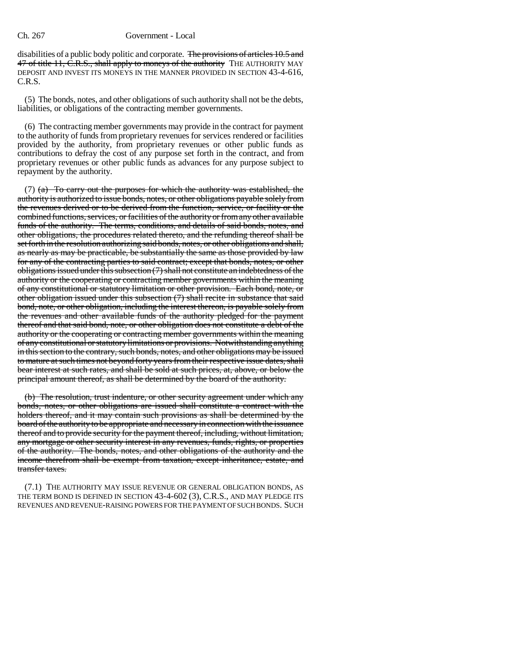disabilities of a public body politic and corporate. The provisions of articles 10.5 and 47 of title 11, C.R.S., shall apply to moneys of the authority THE AUTHORITY MAY DEPOSIT AND INVEST ITS MONEYS IN THE MANNER PROVIDED IN SECTION 43-4-616, C.R.S.

(5) The bonds, notes, and other obligations of such authority shall not be the debts, liabilities, or obligations of the contracting member governments.

(6) The contracting member governments may provide in the contract for payment to the authority of funds from proprietary revenues for services rendered or facilities provided by the authority, from proprietary revenues or other public funds as contributions to defray the cost of any purpose set forth in the contract, and from proprietary revenues or other public funds as advances for any purpose subject to repayment by the authority.

(7)  $(a)$  To carry out the purposes for which the authority was established, the authority is authorized to issue bonds, notes, or other obligations payable solely from the revenues derived or to be derived from the function, service, or facility or the combined functions, services, or facilities of the authority or from any other available funds of the authority. The terms, conditions, and details of said bonds, notes, and other obligations, the procedures related thereto, and the refunding thereof shall be set forth in the resolution authorizing said bonds, notes, or other obligations and shall, as nearly as may be practicable, be substantially the same as those provided by law for any of the contracting parties to said contract; except that bonds, notes, or other obligations issued under this subsection (7) shall not constitute an indebtedness of the authority or the cooperating or contracting member governments within the meaning of any constitutional or statutory limitation or other provision. Each bond, note, or other obligation issued under this subsection (7) shall recite in substance that said bond, note, or other obligation, including the interest thereon, is payable solely from the revenues and other available funds of the authority pledged for the payment thereof and that said bond, note, or other obligation does not constitute a debt of the authority or the cooperating or contracting member governments within the meaning of any constitutional or statutory limitations or provisions. Notwithstanding anything in this section to the contrary, such bonds, notes, and other obligations may be issued to mature at such times not beyond forty years from their respective issue dates, shall bear interest at such rates, and shall be sold at such prices, at, above, or below the principal amount thereof, as shall be determined by the board of the authority.

(b) The resolution, trust indenture, or other security agreement under which any bonds, notes, or other obligations are issued shall constitute a contract with the holders thereof, and it may contain such provisions as shall be determined by the board of the authority to be appropriate and necessary in connection with the issuance thereof and to provide security for the payment thereof, including, without limitation, any mortgage or other security interest in any revenues, funds, rights, or properties of the authority. The bonds, notes, and other obligations of the authority and the income therefrom shall be exempt from taxation, except inheritance, estate, and transfer taxes.

(7.1) THE AUTHORITY MAY ISSUE REVENUE OR GENERAL OBLIGATION BONDS, AS THE TERM BOND IS DEFINED IN SECTION 43-4-602 (3), C.R.S., AND MAY PLEDGE ITS REVENUES AND REVENUE-RAISING POWERS FOR THE PAYMENT OF SUCH BONDS. SUCH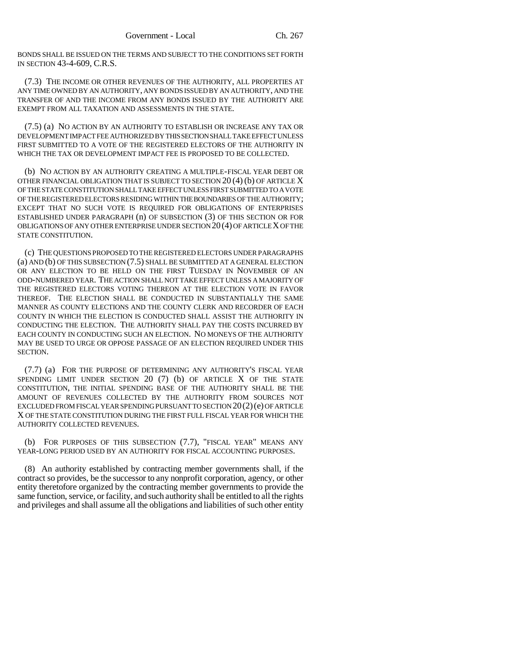BONDS SHALL BE ISSUED ON THE TERMS AND SUBJECT TO THE CONDITIONS SET FORTH IN SECTION 43-4-609, C.R.S.

(7.3) THE INCOME OR OTHER REVENUES OF THE AUTHORITY, ALL PROPERTIES AT ANY TIME OWNED BY AN AUTHORITY, ANY BONDS ISSUED BY AN AUTHORITY, AND THE TRANSFER OF AND THE INCOME FROM ANY BONDS ISSUED BY THE AUTHORITY ARE EXEMPT FROM ALL TAXATION AND ASSESSMENTS IN THE STATE.

(7.5) (a) NO ACTION BY AN AUTHORITY TO ESTABLISH OR INCREASE ANY TAX OR DEVELOPMENT IMPACT FEE AUTHORIZED BY THIS SECTION SHALL TAKE EFFECT UNLESS FIRST SUBMITTED TO A VOTE OF THE REGISTERED ELECTORS OF THE AUTHORITY IN WHICH THE TAX OR DEVELOPMENT IMPACT FEE IS PROPOSED TO BE COLLECTED.

(b) NO ACTION BY AN AUTHORITY CREATING A MULTIPLE-FISCAL YEAR DEBT OR OTHER FINANCIAL OBLIGATION THAT IS SUBJECT TO SECTION 20  $(4)$  (b) OF ARTICLE X OF THE STATE CONSTITUTION SHALL TAKE EFFECT UNLESS FIRST SUBMITTED TO A VOTE OF THE REGISTERED ELECTORS RESIDING WITHIN THE BOUNDARIES OF THE AUTHORITY; EXCEPT THAT NO SUCH VOTE IS REQUIRED FOR OBLIGATIONS OF ENTERPRISES ESTABLISHED UNDER PARAGRAPH (n) OF SUBSECTION (3) OF THIS SECTION OR FOR OBLIGATIONS OF ANY OTHER ENTERPRISE UNDER SECTION 20(4) OF ARTICLE X OF THE STATE CONSTITUTION.

(c) THE QUESTIONS PROPOSED TO THE REGISTERED ELECTORS UNDER PARAGRAPHS (a) AND (b) OF THIS SUBSECTION (7.5) SHALL BE SUBMITTED AT A GENERAL ELECTION OR ANY ELECTION TO BE HELD ON THE FIRST TUESDAY IN NOVEMBER OF AN ODD-NUMBERED YEAR. THE ACTION SHALL NOT TAKE EFFECT UNLESS A MAJORITY OF THE REGISTERED ELECTORS VOTING THEREON AT THE ELECTION VOTE IN FAVOR THEREOF. THE ELECTION SHALL BE CONDUCTED IN SUBSTANTIALLY THE SAME MANNER AS COUNTY ELECTIONS AND THE COUNTY CLERK AND RECORDER OF EACH COUNTY IN WHICH THE ELECTION IS CONDUCTED SHALL ASSIST THE AUTHORITY IN CONDUCTING THE ELECTION. THE AUTHORITY SHALL PAY THE COSTS INCURRED BY EACH COUNTY IN CONDUCTING SUCH AN ELECTION. NO MONEYS OF THE AUTHORITY MAY BE USED TO URGE OR OPPOSE PASSAGE OF AN ELECTION REQUIRED UNDER THIS SECTION.

(7.7) (a) FOR THE PURPOSE OF DETERMINING ANY AUTHORITY'S FISCAL YEAR SPENDING LIMIT UNDER SECTION 20 (7) (b) OF ARTICLE X OF THE STATE CONSTITUTION, THE INITIAL SPENDING BASE OF THE AUTHORITY SHALL BE THE AMOUNT OF REVENUES COLLECTED BY THE AUTHORITY FROM SOURCES NOT EXCLUDED FROM FISCAL YEAR SPENDING PURSUANT TO SECTION 20(2)(e) OF ARTICLE X OF THE STATE CONSTITUTION DURING THE FIRST FULL FISCAL YEAR FOR WHICH THE AUTHORITY COLLECTED REVENUES.

(b) FOR PURPOSES OF THIS SUBSECTION (7.7), "FISCAL YEAR" MEANS ANY YEAR-LONG PERIOD USED BY AN AUTHORITY FOR FISCAL ACCOUNTING PURPOSES.

(8) An authority established by contracting member governments shall, if the contract so provides, be the successor to any nonprofit corporation, agency, or other entity theretofore organized by the contracting member governments to provide the same function, service, or facility, and such authority shall be entitled to all the rights and privileges and shall assume all the obligations and liabilities of such other entity